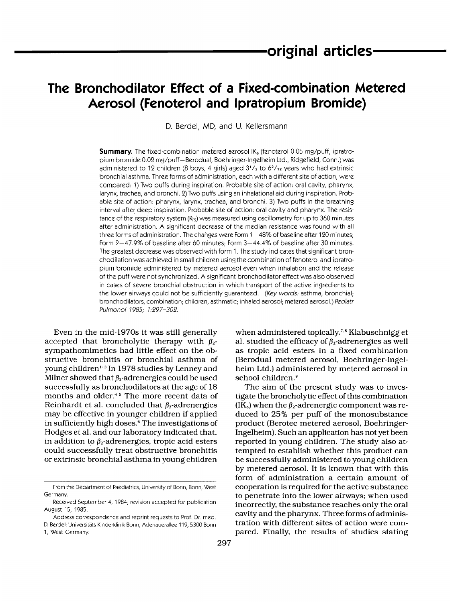# **The Bronchodilator Effect of a Fixed-combination Metered Aerosol (Fenoterol and lpratropium Bromide)**

D. Berdel, MD, and U. Kellersmann

**Summary.** The fixed-combination metered aerosol **IKs** (fenoterol 0.05 mg/puff, ipratropium bromide 0.02 mg/puff-Berodual, Boehringer-lngelheim Ltd., Ridgefield, Conn.) was administered to 12 children (8 boys, 4 girls) aged  $3'/_2$  to  $6^2/_{12}$  years who had extrinsic bronchial asthma. Three forms of administration, each with a different site of action, were compared: 1) Two puffs during inspiration. Probable site of action: oral cavity, pharynx, larynx, trachea, and bronchi. 2) Two puffs using an inhalational aid during inspiration. Probable site of action: pharynx, larynx, trachea, and bronchi. 3) Two puffs in the breathing interval after deep inspiration. Probable site of action: oral cavity and pharynx. The resistance of the respiratory system  $(R_{rs})$  was measured using oscillometry for up to 360 minutes after administration. **A** significant decrease of the median resistance was found with all three forms of administration. The changes were Form 1-48% of baseline after 120 minutes; Form  $2-47.9\%$  of baseline after 60 minutes; Form  $3-44.4\%$  of baseline after 30 minutes. The greatest decrease was observed with form 1. The study indicates that significant bronchodilation was achieved in small children using the combination of fenoterol and ipratropium bromide administered by metered aerosol even when inhalation and the release of the puff were not synchronized. **A** significant bronchodilator effect was also observed in cases of severe bronchial obstruction in which transport of the active ingredients to the lower airways could not be sufficiently guaranteed. *(Key words:* asthma, bronchial; bronchodilators, combination; children, asthmatic; inhaled aerosol; metered aerosol.) *Pediatr Pulmonol 1985; 1:297-302.* 

Even in the mid-1970s it was still generally accepted that broncholytic therapy with  $\beta_2$ sympathomimetics had little effect on the obstructive bronchitis or bronchial asthma of young children<sup>1-3</sup> In 1978 studies by Lenney and Milner showed that  $\beta_2$ -adrenergics could be used successfully as bronchodilators at the age of 18 months and older.<sup>4,5</sup> The more recent data of Reinhardt et al. concluded that  $\beta_2$ -adrenergics may be effective in younger children if applied in sufficiently high doses.<sup>6</sup> The investigations of Hodges et al. and our laboratory indicated that, in addition to  $\beta_2$ -adrenergics, tropic acid esters could successfully treat obstructive bronchitis or extrinsic bronchial asthma in young children

when administered topically.<sup>7,8</sup> Klabuschnigg et al. studied the efficacy of  $\beta_2$ -adrenergics as well as tropic acid esters in a fixed combination (Berodual metered aerosol, Boehringer-Ingelheim Ltd.) administered by metered aerosol in school children.<sup>9</sup>

The aim of the present study was to investigate the broncholytic effect of this combination  $(K_6)$  when the  $\beta_2$ -adrenergic component was reduced to 25% per puff of the monosubstance product (Berotec metered aerosol, Boehringer-Ingelheim). Such an application has not yet been reported in young children. The study also attempted to establish whether this product can be successfully administered to young children by metered aerosol. It is known that with this form of administration a certain amount of cooperation is required for the active substance to penetrate into the lower airways; when used incorrectly, the substance reaches only the oral cavity and the pharynx. Three forms of administration with different sites of action were compared. Finally, the results of studies stating

From the Department of Paediatrics, University of Bonn, Bonn, West Germany.

Received September 4, 1984; revision accepted for publication August 15, 1985.

Address correspondence and reprint requests to Prof. Dr. med. D. Berdel: Universitats Kinderklinik Bonn, Adenauerallee 119,5300 Bonn 1, West Germany.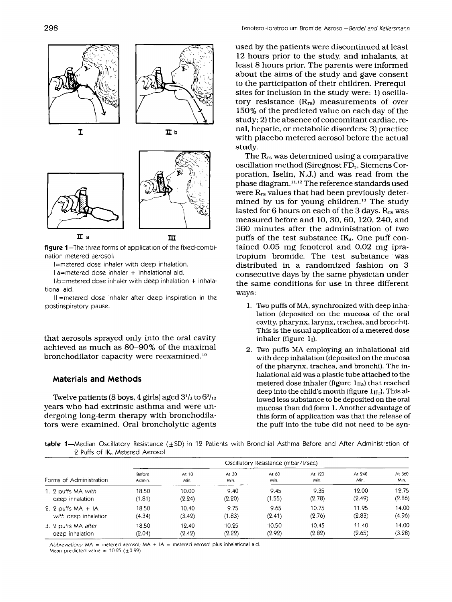

**figure** I-The three forms of application of the fixed-combination metered aerosol:

I=metered dose inhaler with deep inhalation.

 $I$ la=metered dose inhaler  $+$  inhalational aid.

 $I\!I\!b$ =metered dose inhaler with deep inhalation + inhalational aid.

Ill=rnetered dose inhaler after deep inspiration in the postinspiratory pause.

that aerosols sprayed only into the oral cavity achieved as much as 80-90% of the maximal bronchodilator capacity were reexamined.<sup>10</sup>

## **Materials and Methods**

Twelve patients (8 boys, 4 girls) aged  $3^{1/2}$  to  $6^{2/12}$ years who had extrinsic asthma and were undergoing long-term therapy with bronchodilators were examined. Oral broncholytic agents used by the patients were discontinued at least 12 hours prior to the study, and inhalants, at least 8 hours prior. The parents were informed about the aims of the study and gave consent to the participation of their children. Prerequisites for inclusion in the study were: 1) oscillatory resistance  $(R_{rs})$  measurements of over 150% of the predicted value on each day of the study; 2) the absence of concomitant cardiac, renal, hepatic, or metabolic disorders; 3) practice with placebo metered aerosol before the actual study.

The  $R_{rs}$  was determined using a comparative oscillation method (Siregnost **FD5,** Siemens Corporation, Iselin, N.J.) and was read from the phase diagram. 11.12 The reference standards used were Rrs values that had been previously determined by us for young children. $13$  The study lasted for 6 hours on each of the 3 days.  $R_{rs}$  was measured before and 10, 30, 60, 120, 240, and 360 minutes after the administration of two puffs of the test substance  $IK_{\delta}$ . One puff contained 0.05 mg fenoterol and 0.02 mg ipratropium bromide. The test substance was distributed in a randomized fashion on 3 consecutive days by the same physician under the same conditions for use in three different ways:

- 1. Two puffs of MA, synchronized with deep inhalation (deposited on the mucosa of the oral cavity, pharynx, larynx, trachea, and bronchi). This is the usual application of a metered dose inhaler (figure  $1<sub>l</sub>$ ).
- 2. *nYo* puffs MA employing an inhalational aid with deep inhalation (deposited on the mucosa of the pharynx, trachea, and bronchi). The inhalational aid was a plastic tube attached to the metered dose inhaler (figure 1<sub>IIa</sub>) that reached deep into the child's mouth (figure 1IIb). This **al**lowed less substance to be deposited on the oral mucosa than did form **1.** Another advantage of this form of application was that the release of the puff into the tube did not need to be syn-

table 1-Median Oscillatory Resistance (±SD) in 12 Patients with Bronchial Asthma Before and After Administration of 2 Puffs of IK<sub>6</sub> Metered Aerosol

|                         | Oscillatory Resistance (mbar/l/sec) |        |        |        |        |        |        |  |
|-------------------------|-------------------------------------|--------|--------|--------|--------|--------|--------|--|
| Forms of Administration | Before                              | At 10  | At 30  | At 60  | At 120 | At 240 | At 360 |  |
|                         | Admin.                              | Min.   | Min.   | Min.   | Min.   | Min.   | Min.   |  |
| 1. 2 puffs MA with      | 18.50                               | 10.00  | 9.40   | 9.45   | 9.35   | 12.00  | 12.75  |  |
| deep inhalation         | (1.81)                              | (2.24) | (2.20) | (1.55) | (2.78) | (2.49) | (2.86) |  |
| 2. 2 puffs $MA + IA$    | 18.50                               | 10.40  | 9.75   | 9.65   | 10.75  | 11.95  | 14.00  |  |
| with deep inhalation    | (4.34)                              | (3.42) | (1.83) | (2.41) | (2.76) | (2.83) | (4.96) |  |
| 3. 2 puffs MA after     | 18.50                               | 19.40  | 10.25  | 10.50  | 10.45  | 11.40  | 14.00  |  |
| deep inhalation         | (2.04)                              | (2.42) | (2.22) | (2.92) | (2.82) | (2.65) | (3.28) |  |

Abbreviations: **MA** = metered aerosol; **MA** + **IA** = metered aerosol plus inhalational aid. Mean predicted value  $= 10.25$   $(+0.99)$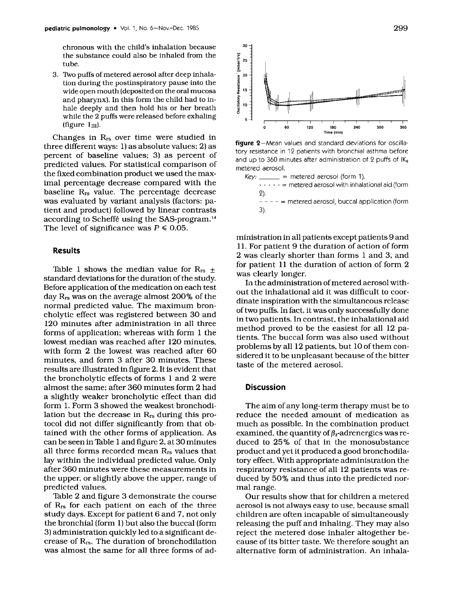chronous with the child's inhalation because the substance could also be inhaled from the tube.

3. Two puffs of metered aerosol after deep inhalation during the postinspiratory pause into the wide open mouth (deposited on the oral mucosa and pharynx). In this form the child had to inhale deeply and then hold his or her breath while the 2 puffs were released before exhaling (figure  $1_{III}$ ).

Changes in Rrs over time were studied in three different ways: 1) as absolute values; 2) as percent of baseline values; **3)** as percent of predicted values. For statistical comparison of the fixed combination product we used the maximal percentage decrease compared with the baseline Rrs value. The percentage decrease was evaluated by variant analysis (factors: patient and product) followed by linear contrasts according to Scheffe using the SAS-program.<sup>14</sup> The level of significance was  $P \le 0.05$ .

#### **Results**

Table 1 shows the median value for  $R_{rs}$  + standard deviations for the duration of the study. Before application of the medication on each test day Rr, was on the average almost 200% of the normal predicted value. The maximum broncholytic effect was registered between **30** and 120 minutes after administration in all three forms of application; whereas with form 1 the lowest median was reached after 120 minutes, with form 2 the lowest was reached after **60**  minutes, and form **3** after **30** minutes. These results are illustrated in figure 2. It is evident that the broncholytic effects of forms 1 and 2 were almost the same; after **360** minutes form **2** had a slightly weaker broncholytic effect than did form 1. Form **3** showed the weakest bronchodilation but the decrease in  $R_{rs}$  during this protocol did not differ significantly from that obtained with the other forms of application. As can be seen in Table 1 and figure 2, at **30** minutes all three forms recorded mean Rrs values that lay within the individual predicted value. Only after **360** minutes were these measurements in the upper, or slightly above the upper, range of predicted values.

Thble 2 and figure **3** demonstrate the course of **Rrs** for each patient on each of the three study days. Except for patient **6** and 7, not only the bronchial (form 1) but also the buccal (form *3)* administration quickly led to a significant decrease of Rrs. The duration of bronchodilation was almost the same for all three forms of ad-



**figure** 2-Mean values and standard deviations for oscillatory resistance in 12 patients with bronchial asthma before and up to 360 minutes after administration of  $2$  puffs of IK $_6$ metered aerosol.

 $Key:$   $=$  metered aerosol (form 1).  $\cdots$   $\cdots$  = metered aerosol with inhalational aid (form 2).  $--- =$  metered aerosol, buccal application (form 3).

ministration in all patients except patients 9 and 11. For patient 9 the duration of action of form 2 was clearly shorter than forms 1 and **3,** and for patient 11 the duration of action of form 2 was clearly longer.

In the administration of metered aerosol without the inhalational aid it was difficult to coordinate inspiration with the simultaneous release of two puffs. In fact, it was only successfully done in two patients. In contrast, the inhalational aid method proved to be the easiest for all 12 patients. The buccal form was also used without problems by all 12 patients, but 10 of them considered it to be unpleasant because of the bitter taste of the metered aerosol.

#### **Discussion**

The aim of any long-term therapy must be to reduce the needed amount of medication as much as possible. In the combination product examined, the quantity of  $\beta_2$ -adrenergics was reduced to 25% of that in the monosubstance product and yet it produced a good bronchodilatory effect. With appropriate administration the respiratory resistance of all 12 patients was reduced by 50% and thus into the predicted normal range.

Our results show that for children a metered aerosol is not always easy to use, because small children are often incapable of simultaneously releasing the puff and inhaling. They may also reject the metered dose inhaler altogether because of its bitter taste. We therefore sought an alternative form of administration. An inhala-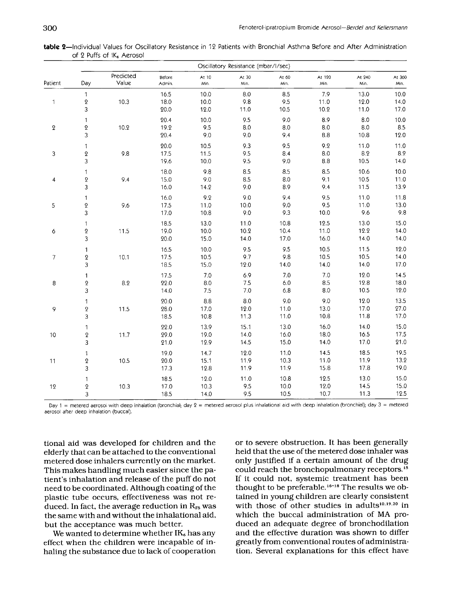| table 2—Individual Values for Oscillatory Resistance in 12 Patients with Bronchial Asthma Before and After Administration |  |  |  |
|---------------------------------------------------------------------------------------------------------------------------|--|--|--|
| of 2 Puffs of IK. Aerosol                                                                                                 |  |  |  |

|                |                                       | Oscillatory Resistance (mbar/l/sec) |                      |                       |                         |                      |                      |                      |                         |  |
|----------------|---------------------------------------|-------------------------------------|----------------------|-----------------------|-------------------------|----------------------|----------------------|----------------------|-------------------------|--|
| Patient        | Day                                   | Predicted<br>Value                  | Before<br>Admin.     | At 10<br>Min.         | At 30<br>Min.           | At 60<br>Min.        | At 120<br>Min.       | At 240<br>Min.       | At 360<br>Min.          |  |
| $\mathbf{1}$   | $\mathbf{1}$<br>$\pmb{2}$<br>3        | 10.3                                | 16.5<br>18.0<br>20.0 | 10.0<br>10.0<br>12.0  | $8.0\,$<br>9.8<br>11.0  | 8.5<br>9.5<br>10.5   | 7.9<br>11.0<br>10.2  | 13.0<br>12.0<br>11.0 | 10.0<br>14.0<br>17.0    |  |
| $\overline{2}$ | $\mathbf{1}$<br>$\pmb{2}$<br>3        | 10.2                                | 20.4<br>19.2<br>20.4 | 10.0<br>9.5<br>9.0    | 9.5<br>8.0<br>9.0       | 9.0<br>8.0<br>9.4    | 8.9<br>8.0<br>8.8    | 8.0<br>8.0<br>10.8   | 10.0<br>8.5<br>12.0     |  |
| 3              | $\mathbf{1}$<br>$\boldsymbol{2}$<br>3 | 9.8                                 | 20.0<br>17.5<br>19.6 | 10.5<br>11.5<br>10.0  | 9.3<br>9.5<br>9.5       | 9.5<br>8.4<br>9.0    | 9.2<br>8.0<br>8.8    | 11.0<br>8.2<br>10.5  | 11.0<br>$8.2\,$<br>14.0 |  |
| 4              | $\mathbf 1$<br>$\pmb{2}$<br>3         | 9.4                                 | 18.0<br>15.0<br>16.0 | 9.8<br>9.0<br>14.2    | 8.5<br>8.5<br>9.0       | 8.5<br>8.0<br>8.9    | 8.5<br>9.1<br>9.4    | 10.6<br>10.5<br>11.5 | 10.0<br>11.0<br>13.9    |  |
| 5              | $\mathbf{1}$<br>$\boldsymbol{2}$<br>3 | 9.6                                 | 16.0<br>17.5<br>17.0 | 9.2<br>11.0<br>10.8   | 9.0<br>10.0<br>9.0      | 9.4<br>9.0<br>9.3    | 9.5<br>9.5<br>10.0   | 11.0<br>11.0<br>9.6  | 11.8<br>13.0<br>9.8     |  |
| 6              | $\mathbf{1}$<br>$\pmb{2}$<br>3        | 11.5                                | 18.5<br>19.0<br>20.0 | 13.0<br>10.0<br>15.0  | 11.0<br>10.2<br>14.0    | 10.8<br>10.4<br>17.0 | 12.5<br>11.0<br>16.0 | 13.0<br>12.2<br>14.0 | 15.0<br>14.0<br>14.0    |  |
| $\overline{7}$ | 1<br>$\pmb{2}$<br>3                   | 10.1                                | 16.5<br>17.5<br>18.5 | 10.0<br>10.5<br>15.0  | 9.5<br>9.7<br>12.0      | 9.5<br>9.8<br>14.0   | 10.5<br>10.5<br>14.0 | 11.5<br>10.5<br>14.0 | 12.0<br>14.0<br>17.0    |  |
| 8              | $\mathbf{1}$<br>$\pmb{2}$<br>3        | 8.2                                 | 17.5<br>22.0<br>14.0 | 7.0<br>8.0<br>$7.5\,$ | 6.9<br>7.5<br>$7.0$     | 7.0<br>6.0<br>6.8    | 7.0<br>8.5<br>8.0    | 12.0<br>12.8<br>10.5 | 14.5<br>18.0<br>12.0    |  |
| 9              | $\mathbf{1}$<br>$\boldsymbol{Q}$<br>3 | 11.5                                | 20.0<br>28.0<br>18.5 | 8.8<br>17.0<br>10.8   | $8.0\,$<br>12.0<br>11.3 | 9.0<br>11.0<br>11.0  | 9.0<br>13.0<br>10.8  | 12.0<br>17.0<br>11.8 | 13.5<br>27.0<br>17.0    |  |
| 10             | $\mathbf{1}$<br>$\,2\,$<br>3          | 11.7                                | 22.0<br>29.0<br>21.0 | 13.9<br>19.0<br>12.9  | 15.1<br>14.0<br>14.5    | 13.0<br>16.0<br>15.0 | 16.0<br>18.0<br>14.0 | 14.0<br>16.5<br>17.0 | 15.0<br>17.5<br>21.0    |  |
| 11             | $\mathbf{1}$<br>$\pmb{2}$<br>3        | 10.5                                | 19.0<br>20.0<br>17.3 | 14.7<br>15.1<br>12.8  | 12.0<br>11.9<br>11.9    | 11.0<br>10.3<br>11.9 | 14.5<br>11.0<br>15.8 | 18.5<br>11.9<br>17.8 | 19.5<br>13.2<br>19.0    |  |
| 12             | $\mathbf 1$<br>$\pmb{2}$<br>3         | 10.3                                | 18.5<br>17.0<br>18.5 | 12.0<br>10.3<br>14.0  | 11.0<br>9.5<br>9.5      | 10.8<br>10.0<br>10.5 | 12.5<br>12.0<br>10.7 | 13.0<br>14.5<br>11.3 | 15.0<br>15.0<br>12.5    |  |

Day 1 = metered aerosol with deep inhalation (bronchial; day **2** = metered aerosol **plus** inhalational aid with deep inhalation (bronchial); day 3 = metered aerosol after deep inhalation (buccal).

tional aid was developed for children and the elderly that can be attached to the conventional metered dose inhalers currently on the market. This makes handling much easier since the patient's inhalation and release of the puff do not need to be coordinated. Although coating of the plastic tube occurs, effectiveness was not reduced. In fact, the average reduction in R<sub>rs</sub> was the same with and without the inhalational aid, but the acceptance was much better.

We wanted to determine whether  $IK_6$  has any effect when the children were incapable of inhaling the substance due to lack of cooperation or to severe obstruction. It has been generally held that the use of the metered dose inhaler was only justified if a certain amount of the drug could reach the bronchopulmonary receptors. **Is**  If it could not, systemic treatment has been thought to be preferable. **16-18** The results we obtained in young children are clearly consistent with those of other studies in adults<sup>10,19,20</sup> in which the buccal administration of MA produced an adequate degree of bronchodilation and the effective duration was shown to differ greatly from conventional routes of administration. Several explanations for this effect have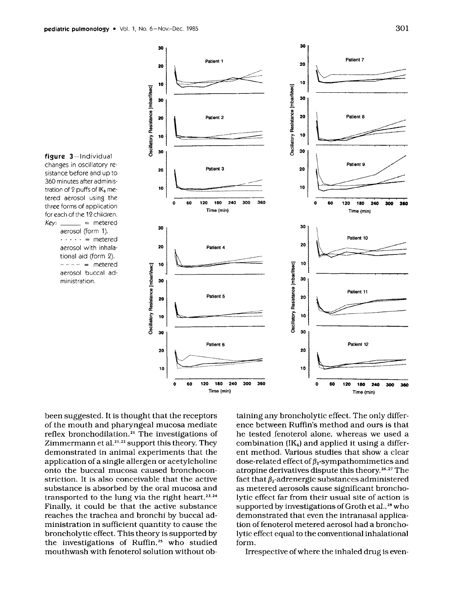

30



been suggested. It is thought that the receptors of the mouth and pharyngeal mucosa mediate reflex bronchodilation.<sup>21</sup> The investigations of Zimmermann et al.<sup>21,22</sup> support this theory. They demonstrated in animal experiments that the application of a single allergen or acetylcholine onto the buccal mucosa caused bronchoconstriction. It is also conceivable that the active substance is absorbed by the oral mucosa and transported to the lung via the right heart.<sup>23,24</sup> Finally, it could be that the active substance reaches the trachea and bronchi by buccal administration in sufficient quantity to cause the broncholytic effect. This theory is supported by the investigations of Ruffin,<sup>25</sup> who studied mouthwash with fenoterol solution without ob-

taining any broncholytic effect. The only difference between Ruffin's method and ours is that he tested fenoterol alone, whereas we used a combination  $(IK_6)$  and applied it using a different method. Various studies that show a clear dose-related effect of  $\beta_2$ -sympathomimetics and atropine derivatives dispute this theory.<sup>26,27</sup> The fact that  $\beta_2$ -adrenergic substances administered as metered aerosols cause significant broncholytic effect far from their usual site of action is supported by investigations of Groth et al.,<sup>28</sup> who demonstrated that even the intranasal application of fenoterol metered aerosol had a broncholytic effect equal to the conventional inhalational form.

Irrespective of where the inhaled drug is even-